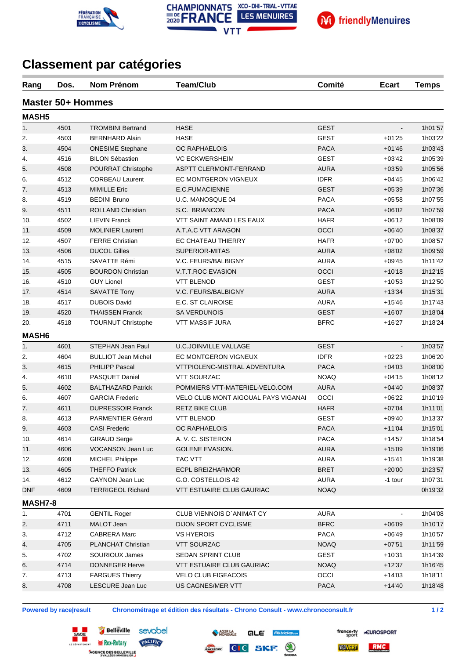



## **Classement par catégories**

**FÉDÉRATION**<br>FRANÇAISE

**E CYCLISME** 

| Rang         | Dos. | <b>Nom Prénom</b>          | <b>Team/Club</b>                           | Comité      | <b>Ecart</b>             | <b>Temps</b> |
|--------------|------|----------------------------|--------------------------------------------|-------------|--------------------------|--------------|
|              |      | <b>Master 50+ Hommes</b>   |                                            |             |                          |              |
| <b>MASH5</b> |      |                            |                                            |             |                          |              |
| 1.           | 4501 | <b>TROMBINI Bertrand</b>   | <b>HASE</b>                                | <b>GEST</b> | $\overline{\phantom{a}}$ | 1h01'57      |
| 2.           | 4503 | <b>BERNHARD Alain</b>      | <b>HASE</b>                                | <b>GEST</b> | $+01'25$                 | 1h03'22      |
| 3.           | 4504 | <b>ONESIME Stephane</b>    | <b>OC RAPHAELOIS</b>                       | <b>PACA</b> | $+01'46$                 | 1h03'43      |
| 4.           | 4516 | <b>BILON Sébastien</b>     | <b>VC ECKWERSHEIM</b>                      | <b>GEST</b> | $+03'42$                 | 1h05'39      |
| 5.           | 4508 | POURRAT Christophe         | ASPTT CLERMONT-FERRAND                     | <b>AURA</b> | $+03'59$                 | 1h05'56      |
| 6.           | 4512 | <b>CORBEAU Laurent</b>     | EC MONTGERON VIGNEUX                       | <b>IDFR</b> | $+04'45$                 | 1h06'42      |
| 7.           | 4513 | <b>MIMILLE Eric</b>        | E.C.FUMACIENNE                             | <b>GEST</b> | $+05'39$                 | 1h07'36      |
| 8.           | 4519 | <b>BEDINI Bruno</b>        | U.C. MANOSQUE 04                           | <b>PACA</b> | $+05'58$                 | 1h07'55      |
| 9.           | 4511 | ROLLAND Christian          | S.C. BRIANCON                              | <b>PACA</b> | $+06'02$                 | 1h07'59      |
| 10.          | 4502 | <b>LIEVIN Franck</b>       | VTT SAINT AMAND LES EAUX                   | <b>HAFR</b> | +06'12                   | 1h08'09      |
| 11.          | 4509 | <b>MOLINIER Laurent</b>    | A.T.A.C VTT ARAGON                         | OCCI        | $+06'40$                 | 1h08'37      |
| 12.          | 4507 | <b>FERRE Christian</b>     | EC CHATEAU THIERRY                         | <b>HAFR</b> | $+07'00$                 | 1h08'57      |
| 13.          | 4506 | <b>DUCOL Gilles</b>        | <b>SUPERIOR-MITAS</b>                      | <b>AURA</b> | $+08'02$                 | 1h09'59      |
| 14.          | 4515 | SAVATTE Rémi               | V.C. FEURS/BALBIGNY                        | <b>AURA</b> | $+09'45$                 | 1h11'42      |
| 15.          | 4505 | <b>BOURDON Christian</b>   | V.T.T.ROC EVASION                          | OCCI        | $+10'18$                 | 1h12'15      |
| 16.          | 4510 | <b>GUY Lionel</b>          | <b>VTT BLENOD</b>                          | <b>GEST</b> | $+10'53$                 | 1h12'50      |
| 17.          | 4514 | <b>SAVATTE Tony</b>        | V.C. FEURS/BALBIGNY                        | <b>AURA</b> | $+13'34$                 | 1h15'31      |
| 18.          | 4517 | <b>DUBOIS David</b>        | <b>E.C. ST CLAIROISE</b>                   | <b>AURA</b> | $+15'46$                 | 1h17'43      |
| 19.          | 4520 | <b>THAISSEN Franck</b>     | SA VERDUNOIS                               | <b>GEST</b> | $+16'07$                 | 1h18'04      |
| 20.          | 4518 | <b>TOURNUT Christophe</b>  | <b>VTT MASSIF JURA</b>                     | <b>BFRC</b> | $+16'27$                 | 1h18'24      |
| <b>MASH6</b> |      |                            |                                            |             |                          |              |
| 1.           | 4601 | STEPHAN Jean Paul          | <b>U.C.JOINVILLE VALLAGE</b>               | <b>GEST</b> |                          | 1h03'57      |
| 2.           | 4604 | <b>BULLIOT Jean Michel</b> | EC MONTGERON VIGNEUX                       | <b>IDFR</b> | $+02'23$                 | 1h06'20      |
| 3.           | 4615 | <b>PHILIPP Pascal</b>      | VTTPIOLENC-MISTRAL ADVENTURA               | <b>PACA</b> | $+04'03$                 | 1h08'00      |
| 4.           | 4610 | PASQUET Daniel             | <b>VTT SOURZAC</b>                         | <b>NOAQ</b> | $+04'15$                 | 1h08'12      |
| 5.           | 4602 | <b>BALTHAZARD Patrick</b>  | POMMIERS VTT-MATERIEL-VELO.COM             | <b>AURA</b> | $+04'40$                 | 1h08'37      |
| 6.           | 4607 | <b>GARCIA Frederic</b>     | <b>VELO CLUB MONT AIGOUAL PAYS VIGANAI</b> | OCCI        | $+06'22$                 | 1h10'19      |
| 7.           | 4611 | <b>DUPRESSOIR Franck</b>   | <b>RETZ BIKE CLUB</b>                      | <b>HAFR</b> | $+07'04$                 | 1h11'01      |
| 8.           | 4613 | <b>PARMENTIER Gérard</b>   | <b>VTT BLENOD</b>                          | <b>GEST</b> | +09'40                   | 1h13'37      |
| 9.           | 4603 | <b>CASI Frederic</b>       | OC RAPHAELOIS                              | PACA        | $+11'04$                 | 1h15'01      |
| 10.          | 4614 | <b>GIRAUD Serge</b>        | A. V. C. SISTERON                          | <b>PACA</b> | $+14'57$                 | 1h18'54      |
| 11.          | 4606 | VOCANSON Jean Luc          | GOLENE EVASION.                            | <b>AURA</b> | $+15'09$                 | 1h19'06      |
| 12.          | 4608 | <b>MICHEL Philippe</b>     | TAC VTT                                    | <b>AURA</b> | $+15'41$                 | 1h19'38      |
| 13.          | 4605 | <b>THEFFO Patrick</b>      | <b>ECPL BREIZHARMOR</b>                    | <b>BRET</b> | $+20'00$                 | 1h23'57      |
| 14.          | 4612 | <b>GAYNON Jean Luc</b>     | G.O. COSTELLOIS 42                         | <b>AURA</b> | -1 tour                  | 1h07'31      |
| <b>DNF</b>   | 4609 | <b>TERRIGEOL Richard</b>   | <b>VTT ESTUAIRE CLUB GAURIAC</b>           | <b>NOAQ</b> |                          | 0h19'32      |
| MASH7-8      |      |                            |                                            |             |                          |              |
| 1.           | 4701 | <b>GENTIL Roger</b>        | CLUB VIENNOIS D'ANIMAT CY                  | <b>AURA</b> |                          | 1h04'08      |
| 2.           | 4711 | MALOT Jean                 | DIJON SPORT CYCLISME                       | <b>BFRC</b> | $+06'09$                 | 1h10'17      |
| 3.           | 4712 | <b>CABRERA Marc</b>        | <b>VS HYEROIS</b>                          | PACA        | $+06'49$                 | 1h10'57      |
| 4.           | 4705 | PLANCHAT Christian         | <b>VTT SOURZAC</b>                         | <b>NOAQ</b> | $+07'51$                 | 1h11'59      |
| 5.           | 4702 | SOURIOUX James             | SEDAN SPRINT CLUB                          | <b>GEST</b> | $+10'31$                 | 1h14'39      |
| 6.           | 4714 | <b>DONNEGER Herve</b>      | VTT ESTUAIRE CLUB GAURIAC                  | <b>NOAQ</b> | $+12'37$                 | 1h16'45      |
|              |      |                            |                                            |             |                          |              |
| 7.           | 4713 | <b>FARGUES Thierry</b>     | <b>VELO CLUB FIGEACOIS</b>                 | OCCI        | $+14'03$                 | 1h18'11      |
| 8.           | 4708 | LESCURE Jean Luc           | US CAGNES/MER VTT                          | PACA        | $+14'40$                 | 1h18'48      |

**Powered by race|result Chronométrage et édition des résultats - Chrono Consult - www.chronoconsult.fr 1 / 2**







RMC VROVERT

france-ty<br>sport

**\*EUROSPORT**